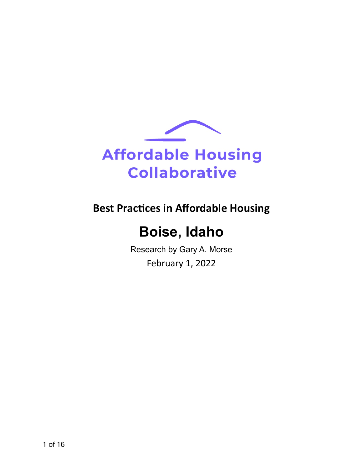

# **Best Practices in Affordable Housing**

# **Boise, Idaho**

Research by Gary A. Morse February 1, 2022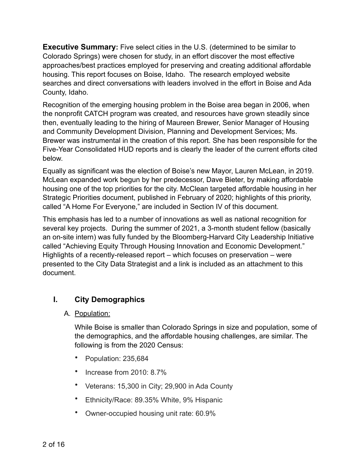**Executive Summary:** Five select cities in the U.S. (determined to be similar to Colorado Springs) were chosen for study, in an effort discover the most effective approaches/best practices employed for preserving and creating additional affordable housing. This report focuses on Boise, Idaho. The research employed website searches and direct conversations with leaders involved in the effort in Boise and Ada County, Idaho.

Recognition of the emerging housing problem in the Boise area began in 2006, when the nonprofit CATCH program was created, and resources have grown steadily since then, eventually leading to the hiring of Maureen Brewer, Senior Manager of Housing and Community Development Division, Planning and Development Services; Ms. Brewer was instrumental in the creation of this report. She has been responsible for the Five-Year Consolidated HUD reports and is clearly the leader of the current efforts cited below.

Equally as significant was the election of Boise's new Mayor, Lauren McLean, in 2019. McLean expanded work begun by her predecessor, Dave Bieter, by making affordable housing one of the top priorities for the city. McClean targeted affordable housing in her Strategic Priorities document, published in February of 2020; highlights of this priority, called "A Home For Everyone," are included in Section IV of this document.

This emphasis has led to a number of innovations as well as national recognition for several key projects. During the summer of 2021, a 3-month student fellow (basically an on-site intern) was fully funded by the Bloomberg-Harvard City Leadership Initiative called "Achieving Equity Through Housing Innovation and Economic Development." Highlights of a recently-released report – which focuses on preservation – were presented to the City Data Strategist and a link is included as an attachment to this document.

# **I. City Demographics**

#### A. Population:

While Boise is smaller than Colorado Springs in size and population, some of the demographics, and the affordable housing challenges, are similar. The following is from the 2020 Census:

- Population: 235,684
- Increase from 2010: 8.7%
- Veterans: 15,300 in City; 29,900 in Ada County
- Ethnicity/Race: 89.35% White, 9% Hispanic
- Owner-occupied housing unit rate: 60.9%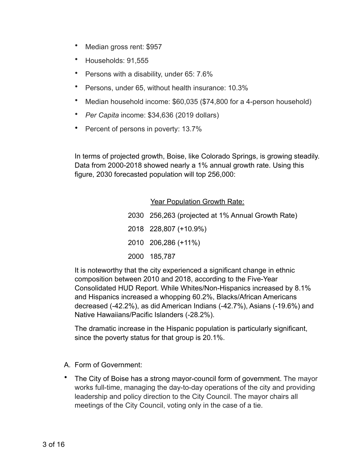- Median gross rent: \$957
- Households: 91,555
- Persons with a disability, under 65: 7.6%
- Persons, under 65, without health insurance: 10.3%
- Median household income: \$60,035 (\$74,800 for a 4-person household)
- *Per Capita* income: \$34,636 (2019 dollars)
- Percent of persons in poverty: 13.7%

In terms of projected growth, Boise, like Colorado Springs, is growing steadily. Data from 2000-2018 showed nearly a 1% annual growth rate. Using this figure, 2030 forecasted population will top 256,000:

#### Year Population Growth Rate:

| 2030 256,263 (projected at 1% Annual Growth Rate) |
|---------------------------------------------------|
| 2018 228,807 (+10.9%)                             |
| 2010 206,286 (+11%)                               |
| 2000 185,787                                      |

It is noteworthy that the city experienced a significant change in ethnic composition between 2010 and 2018, according to the Five-Year Consolidated HUD Report. While Whites/Non-Hispanics increased by 8.1% and Hispanics increased a whopping 60.2%, Blacks/African Americans decreased (-42.2%), as did American Indians (-42.7%), Asians (-19.6%) and Native Hawaiians/Pacific Islanders (-28.2%).

The dramatic increase in the Hispanic population is particularly significant, since the poverty status for that group is 20.1%.

- A. Form of Government:
- The City of Boise has a strong mayor-council form of government. The mayor works full-time, managing the day-to-day operations of the city and providing leadership and policy direction to the City Council. The mayor chairs all meetings of the City Council, voting only in the case of a tie.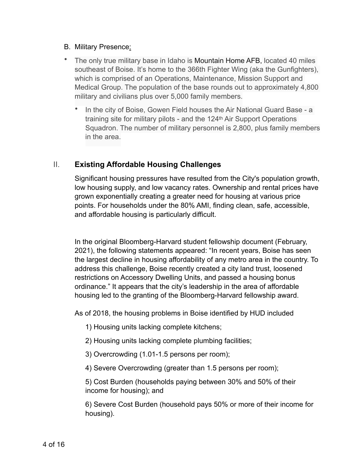#### B. Military Presence:

- The only true military base in Idaho is [Mountain Home AFB,](https://www.mountainhome.af.mil/) located 40 miles southeast of Boise. It's home to the 366th Fighter Wing (aka the Gunfighters), which is comprised of an Operations, Maintenance, Mission Support and Medical Group. The population of the base rounds out to approximately 4,800 military and civilians plus over 5,000 family members.
	- In the city of Boise, Gowen Field houses the Air National Guard Base a training site for military pilots - and the 124th Air Support Operations Squadron. The number of military personnel is 2,800, plus family members in the area.

# II. **Existing Affordable Housing Challenges**

Significant housing pressures have resulted from the City's population growth, low housing supply, and low vacancy rates. Ownership and rental prices have grown exponentially creating a greater need for housing at various price points. For households under the 80% AMI, finding clean, safe, accessible, and affordable housing is particularly difficult.

In the original Bloomberg-Harvard student fellowship document (February, 2021), the following statements appeared: "In recent years, Boise has seen the largest decline in housing affordability of any metro area in the country. To address this challenge, Boise recently created a city land trust, loosened restrictions on Accessory Dwelling Units, and passed a housing bonus ordinance." It appears that the city's leadership in the area of affordable housing led to the granting of the Bloomberg-Harvard fellowship award.

As of 2018, the housing problems in Boise identified by HUD included

- 1) Housing units lacking complete kitchens;
- 2) Housing units lacking complete plumbing facilities;
- 3) Overcrowding (1.01-1.5 persons per room);
- 4) Severe Overcrowding (greater than 1.5 persons per room);

5) Cost Burden (households paying between 30% and 50% of their income for housing); and

6) Severe Cost Burden (household pays 50% or more of their income for housing).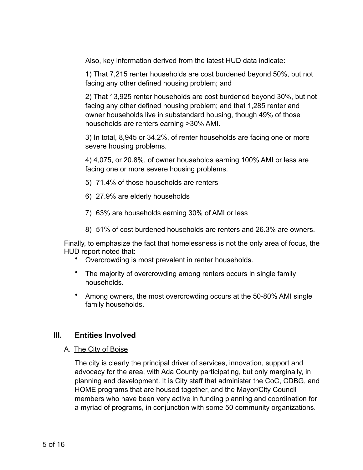Also, key information derived from the latest HUD data indicate:

1) That 7,215 renter households are cost burdened beyond 50%, but not facing any other defined housing problem; and

2) That 13,925 renter households are cost burdened beyond 30%, but not facing any other defined housing problem; and that 1,285 renter and owner households live in substandard housing, though 49% of those households are renters earning >30% AMI.

3) In total, 8,945 or 34.2%, of renter households are facing one or more severe housing problems.

4) 4,075, or 20.8%, of owner households earning 100% AMI or less are facing one or more severe housing problems.

- 5) 71.4% of those households are renters
- 6) 27.9% are elderly households
- 7) 63% are households earning 30% of AMI or less
- 8) 51% of cost burdened households are renters and 26.3% are owners.

Finally, to emphasize the fact that homelessness is not the only area of focus, the HUD report noted that:

- Overcrowding is most prevalent in renter households.
- The majority of overcrowding among renters occurs in single family households.
- Among owners, the most overcrowding occurs at the 50-80% AMI single family households.

#### **III. Entities Involved**

#### A. The City of Boise

The city is clearly the principal driver of services, innovation, support and advocacy for the area, with Ada County participating, but only marginally, in planning and development. It is City staff that administer the CoC, CDBG, and HOME programs that are housed together, and the Mayor/City Council members who have been very active in funding planning and coordination for a myriad of programs, in conjunction with some 50 community organizations.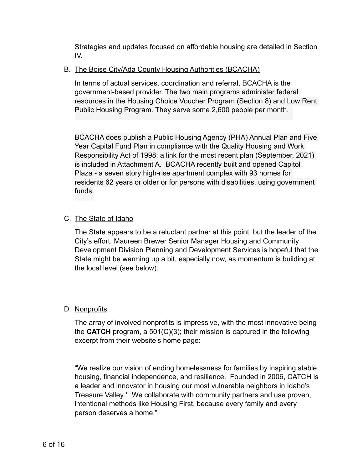Strategies and updates focused on affordable housing are detailed in Section IV.

#### B. The Boise City/Ada County Housing Authorities (BCACHA)

In terms of actual services, coordination and referral, BCACHA is the government-based provider. The two main programs administer federal resources in the Housing Choice Voucher Program (Section 8) and Low Rent Public Housing Program. They serve some 2,600 people per month.

BCACHA does publish a Public Housing Agency (PHA) Annual Plan and Five Year Capital Fund Plan in compliance with the Quality Housing and Work Responsibility Act of 1998; a link for the most recent plan (September, 2021) is included in Attachment A. BCACHA recently built and opened Capitol Plaza - a seven story high-rise apartment complex with 93 homes for residents 62 years or older or for persons with disabilities, using government funds.

#### C. The State of Idaho

The State appears to be a reluctant partner at this point, but the leader of the City's effort, Maureen Brewer Senior Manager Housing and Community Development Division Planning and Development Services is hopeful that the State might be warming up a bit, especially now, as momentum is building at the local level (see below).

#### D. Nonprofits

The array of involved nonprofits is impressive, with the most innovative being the **CATCH** program, a 501(C)(3); their mission is captured in the following excerpt from their website's home page:

"We realize our vision of ending homelessness for families by inspiring stable housing, financial independence, and resilience. Founded in 2006, CATCH is a leader and innovator in housing our most vulnerable neighbors in Idaho's Treasure Valley.\* We collaborate with community partners and use proven, intentional methods like Housing First, because every family and every person deserves a home."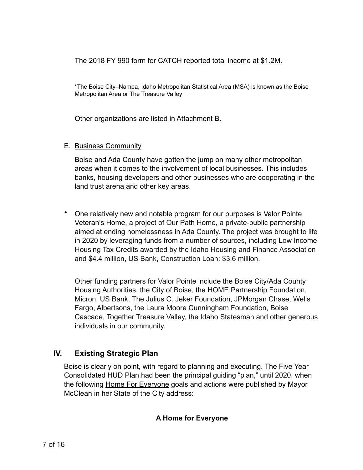The 2018 FY 990 form for CATCH reported total income at \$1.2M.

\*The Boise City–Nampa, Idaho Metropolitan Statistical Area (MSA) is known as the Boise Metropolitan Area or The Treasure Valley

Other organizations are listed in Attachment B.

E. Business Community

Boise and Ada County have gotten the jump on many other metropolitan areas when it comes to the involvement of local businesses. This includes banks, housing developers and other businesses who are cooperating in the land trust arena and other key areas.

• One relatively new and notable program for our purposes is Valor Pointe Veteran's Home, a project of Our Path Home, a private-public partnership aimed at ending homelessness in Ada County. The project was brought to life in 2020 by leveraging funds from a number of sources, including Low Income Housing Tax Credits awarded by the Idaho Housing and Finance Association and \$4.4 million, US Bank, Construction Loan: \$3.6 million.

Other funding partners for Valor Pointe include the Boise City/Ada County Housing Authorities, the City of Boise, the HOME Partnership Foundation, Micron, US Bank, The Julius C. Jeker Foundation, JPMorgan Chase, Wells Fargo, Albertsons, the Laura Moore Cunningham Foundation, Boise Cascade, Together Treasure Valley, the Idaho Statesman and other generous individuals in our community.

# **IV. Existing Strategic Plan**

Boise is clearly on point, with regard to planning and executing. The Five Year Consolidated HUD Plan had been the principal guiding "plan," until 2020, when the following Home For Everyone goals and actions were published by Mayor McClean in her State of the City address:

#### **A Home for Everyone**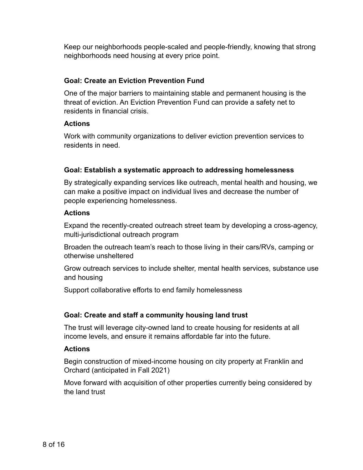Keep our neighborhoods people-scaled and people-friendly, knowing that strong neighborhoods need housing at every price point.

#### **Goal: Create an Eviction Prevention Fund**

One of the major barriers to maintaining stable and permanent housing is the threat of eviction. An Eviction Prevention Fund can provide a safety net to residents in financial crisis.

#### **Actions**

Work with community organizations to deliver eviction prevention services to residents in need.

#### **Goal: Establish a systematic approach to addressing homelessness**

By strategically expanding services like outreach, mental health and housing, we can make a positive impact on individual lives and decrease the number of people experiencing homelessness.

#### **Actions**

Expand the recently-created outreach street team by developing a cross-agency, multi-jurisdictional outreach program

Broaden the outreach team's reach to those living in their cars/RVs, camping or otherwise unsheltered

Grow outreach services to include shelter, mental health services, substance use and housing

Support collaborative efforts to end family homelessness

#### **Goal: Create and staff a community housing land trust**

The trust will leverage city-owned land to create housing for residents at all income levels, and ensure it remains affordable far into the future.

#### **Actions**

Begin construction of mixed-income housing on city property at Franklin and Orchard (anticipated in Fall 2021)

Move forward with acquisition of other properties currently being considered by the land trust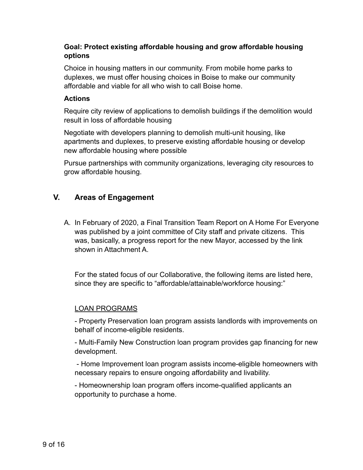#### **Goal: Protect existing affordable housing and grow affordable housing options**

Choice in housing matters in our community. From mobile home parks to duplexes, we must offer housing choices in Boise to make our community affordable and viable for all who wish to call Boise home.

#### **Actions**

Require city review of applications to demolish buildings if the demolition would result in loss of affordable housing

Negotiate with developers planning to demolish multi-unit housing, like apartments and duplexes, to preserve existing affordable housing or develop new affordable housing where possible

Pursue partnerships with community organizations, leveraging city resources to grow affordable housing.

# **V. Areas of Engagement**

A. In February of 2020, a Final Transition Team Report on A Home For Everyone was published by a joint committee of City staff and private citizens. This was, basically, a progress report for the new Mayor, accessed by the link shown in Attachment A.

For the stated focus of our Collaborative, the following items are listed here, since they are specific to "affordable/attainable/workforce housing:"

#### LOAN PROGRAMS

- Property Preservation loan program assists landlords with improvements on behalf of income-eligible residents.

- Multi-Family New Construction loan program provides gap financing for new development.

 - Home Improvement loan program assists income-eligible homeowners with necessary repairs to ensure ongoing affordability and livability.

- Homeownership loan program offers income-qualified applicants an opportunity to purchase a home.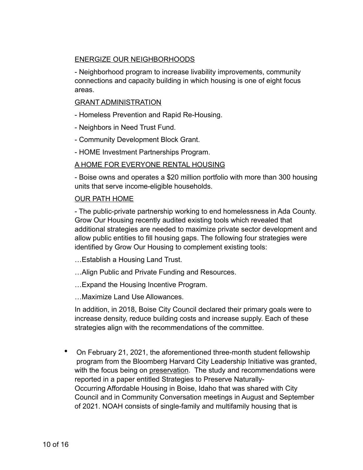#### ENERGIZE OUR NEIGHBORHOODS

- Neighborhood program to increase livability improvements, community connections and capacity building in which housing is one of eight focus areas.

#### GRANT ADMINISTRATION

- Homeless Prevention and Rapid Re-Housing.
- Neighbors in Need Trust Fund.
- Community Development Block Grant.
- HOME Investment Partnerships Program.

#### A HOME FOR EVERYONE RENTAL HOUSING

- Boise owns and operates a \$20 million portfolio with more than 300 housing units that serve income-eligible households.

#### OUR PATH HOME

- The public-private partnership working to end homelessness in Ada County. Grow Our Housing recently audited existing tools which revealed that additional strategies are needed to maximize private sector development and allow public entities to fill housing gaps. The following four strategies were identified by Grow Our Housing to complement existing tools:

- …Establish a Housing Land Trust.
- …Align Public and Private Funding and Resources.
- …Expand the Housing Incentive Program.
- …Maximize Land Use Allowances.

In addition, in 2018, Boise City Council declared their primary goals were to increase density, reduce building costs and increase supply. Each of these strategies align with the recommendations of the committee.

• On February 21, 2021, the aforementioned three-month student fellowship program from the Bloomberg Harvard City Leadership Initiative was granted, with the focus being on preservation. The study and recommendations were reported in a paper entitled Strategies to Preserve Naturally-Occurring Affordable Housing in Boise, Idaho that was shared with City Council and in Community Conversation meetings in August and September of 2021. NOAH consists of single-family and multifamily housing that is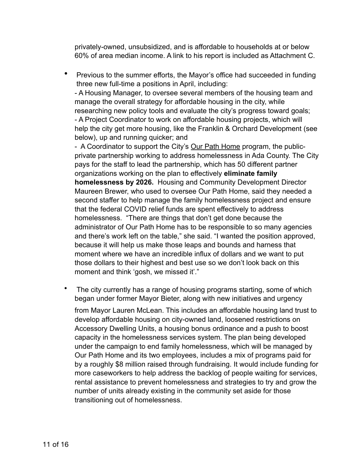privately-owned, unsubsidized, and is affordable to households at or below 60% of area median income. A link to his report is included as Attachment C.

• Previous to the summer efforts, the Mayor's office had succeeded in funding three new full-time a positions in April, including: - A Housing Manager, to oversee several members of the housing team and manage the overall strategy for affordable housing in the city, while researching new policy tools and evaluate the city's progress toward goals; - A Project Coordinator to work on affordable housing projects, which will help the city get more housing, like the [Franklin & Orchard Development](https://boisedev.com/news/2020/07/28/boise-franklin-orchard/) (see below), up and running quicker; and

- A Coordinator to support the City's Our Path Home program, the publicprivate partnership working to address homelessness in Ada County. The City pays for the staff to lead the partnership, which has 50 different partner organizations working on the plan to effectively **eliminate family homelessness by 2026.** Housing and Community Development Director Maureen Brewer, who used to oversee Our Path Home, said they needed a second staffer to help manage the family homelessness project and ensure that the federal COVID relief funds are spent effectively to address homelessness. "There are things that don't get done because the administrator of Our Path Home has to be responsible to so many agencies and there's work left on the table," she said. "I wanted the position approved, because it will help us make those leaps and bounds and harness that moment where we have an incredible influx of dollars and we want to put those dollars to their highest and best use so we don't look back on this moment and think 'gosh, we missed it'."

• The city currently has a range of housing programs starting, some of which began under former Mayor Bieter, along with new initiatives and urgency

from Mayor Lauren McLean. This includes an [affordable housing land trust](https://boisedev.com/news/2021/02/16/boise-affordable-housing-trust/) to develop affordable housing on city-owned land, loosened restrictions on Accessory Dwelling Units, a housing bonus ordinance and a push to [boost](https://www.idahopress.com/news/local/boise-city-council-launches-campaign-to-end-family-homelessness-by-2025/article_dc93d169-267d-5a91-904c-52f6b857ed07.html)  [capacity in the homelessness services system](https://www.idahopress.com/news/local/boise-city-council-launches-campaign-to-end-family-homelessness-by-2025/article_dc93d169-267d-5a91-904c-52f6b857ed07.html). The plan being developed under the campaign to end family homelessness, which will be managed by Our Path Home and its two employees, includes a mix of programs paid for by a roughly \$8 million raised through fundraising. It would include funding for more caseworkers to help address the backlog of people waiting for services, rental assistance to prevent homelessness and strategies to try and grow the number of units already existing in the community set aside for those transitioning out of homelessness.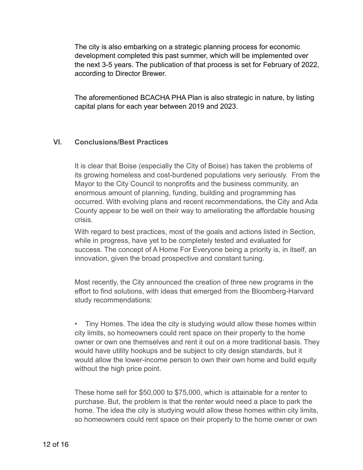The city is also embarking on a strategic planning process for economic development completed this past summer, which will be implemented over the next 3-5 years. The publication of that process is set for February of 2022, according to Director Brewer.

The aforementioned BCACHA PHA Plan is also strategic in nature, by listing capital plans for each year between 2019 and 2023.

#### **VI. Conclusions/Best Practices**

It is clear that Boise (especially the City of Boise) has taken the problems of its growing homeless and cost-burdened populations very seriously. From the Mayor to the City Council to nonprofits and the business community, an enormous amount of planning, funding, building and programming has occurred. With evolving plans and recent recommendations, the City and Ada County appear to be well on their way to ameliorating the affordable housing crisis.

With regard to best practices, most of the goals and actions listed in Section, while in progress, have yet to be completely tested and evaluated for success. The concept of A Home For Everyone being a priority is, in itself, an innovation, given the broad prospective and constant tuning.

Most recently, the City announced the creation of three new programs in the effort to find solutions, with ideas that emerged from the Bloomberg-Harvard study recommendations:

• Tiny Homes. The idea the city is studying would allow these homes within city limits, so homeowners could rent space on their property to the home owner or own one themselves and rent it out on a more traditional basis. They would have utility hookups and be subject to city design standards, but it would allow the lower-income person to own their own home and build equity without the high price point.

These home sell for \$50,000 to \$75,000, which is attainable for a renter to purchase. But, the problem is that the renter would need a place to park the home. The idea the city is studying would allow these homes within city limits, so homeowners could rent space on their property to the home owner or own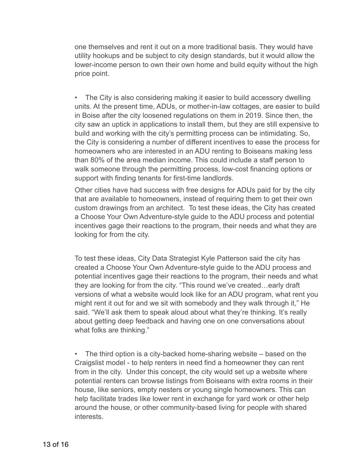one themselves and rent it out on a more traditional basis. They would have utility hookups and be subject to city design standards, but it would allow the lower-income person to own their own home and build equity without the high price point.

• The City is also considering making it easier to build accessory dwelling units. At the present time, ADUs, or mother-in-law cottages, are easier to build in Boise after the city loosened regulations on them in 2019. Since then, the city saw an uptick in applications to install them, but they are still expensive to build and working with the city's permitting process can be intimidating. So, the City is considering a number of different incentives to ease the process for homeowners who are interested in an ADU renting to Boiseans making less than 80% of the area median income. This could include a staff person to walk someone through the permitting process, low-cost financing options or support with finding tenants for first-time landlords.

Other cities have had success with free designs for ADUs paid for by the city that are available to homeowners, instead of requiring them to get their own custom drawings from an architect. To test these ideas, the City has created a Choose Your Own Adventure-style guide to the ADU process and potential incentives gage their reactions to the program, their needs and what they are looking for from the city.

To test these ideas, City Data Strategist Kyle Patterson said the city has created a Choose Your Own Adventure-style guide to the ADU process and potential incentives gage their reactions to the program, their needs and what they are looking for from the city. "This round we've created…early draft versions of what a website would look like for an ADU program, what rent you might rent it out for and we sit with somebody and they walk through it," He said. "We'll ask them to speak aloud about what they're thinking. It's really about getting deep feedback and having one on one conversations about what folks are thinking."

• The third option is a city-backed home-sharing website – based on the Craigslist model - to help renters in need find a homeowner they can rent from in the city. Under this concept, the city would set up a website where potential renters can browse listings from Boiseans with extra rooms in their house, like seniors, empty nesters or young single homeowners. This can help facilitate trades like lower rent in exchange for yard work or other help around the house, or other community-based living for people with shared interests.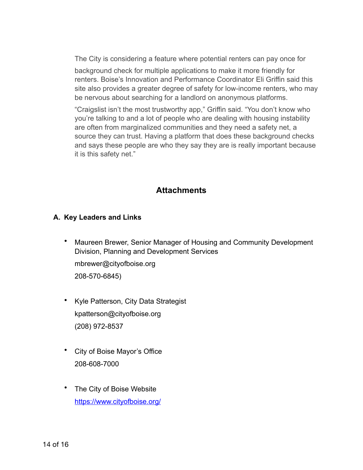The City is considering a feature where potential renters can pay once for background check for multiple applications to make it more friendly for renters. Boise's Innovation and Performance Coordinator Eli Griffin said this site also provides a greater degree of safety for low-income renters, who may be nervous about searching for a landlord on anonymous platforms.

"Craigslist isn't the most trustworthy app," Griffin said. "You don't know who you're talking to and a lot of people who are dealing with housing instability are often from marginalized communities and they need a safety net, a source they can trust. Having a platform that does these background checks and says these people are who they say they are is really important because it is this safety net."

# **Attachments**

#### **A. Key Leaders and Links**

- Maureen Brewer, Senior Manager of Housing and Community Development Division, Planning and Development Services mbrewer@cityofboise.org 208-570-6845)
- Kyle Patterson, City Data Strategist kpatterson@cityofboise.org (208) 972-8537
- City of Boise Mayor's Office 208-608-7000
- The City of Boise Website <https://www.cityofboise.org/>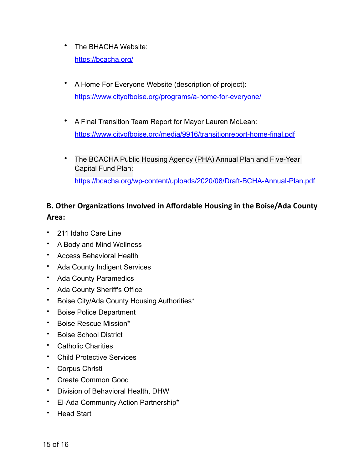- The BHACHA Website: <https://bcacha.org/>
- A Home For Everyone Website (description of project): <https://www.cityofboise.org/programs/a-home-for-everyone/>
- A Final Transition Team Report for Mayor Lauren McLean: <https://www.cityofboise.org/media/9916/transitionreport-home-final.pdf>
- The BCACHA Public Housing Agency (PHA) Annual Plan and Five-Year Capital Fund Plan: <https://bcacha.org/wp-content/uploads/2020/08/Draft-BCHA-Annual-Plan.pdf>

# **B. Other Organizations Involved in Affordable Housing in the Boise/Ada County Area:**

- [211 Idaho Care Line](https://211.idaho.gov/)
- [A Body and Mind Wellness](https://www.abmhealthservices.com/)
- [Access Behavioral Health](http://www.accessbhs.com/about.php)
- [Ada County Indigent Services](https://adacounty.id.gov/clerk/indigent-services/)
- [Ada County Paramedics](https://adacountyparamedics.org/)
- [Ada County Sheriff's Offic](https://adacounty.id.gov/sheriff/)e
- [Boise City/Ada County Housing Authorities\\*](https://bcacha.org/)
- [Boise Police Department](https://www.cityofboise.org/departments/police/)
- [Boise Rescue Mission\\*](https://boiserm.org/)
- [Boise School District](https://www.boiseschools.org/)
- [Catholic Charities](https://www.ccidaho.org/)
- [Child Protective Services](https://healthandwelfare.idaho.gov/Children/AbuseNeglect/tabid/74/Default.aspx)
- [Corpus Christi](https://corpuschristiboise.org/)
- [Create Common Good](https://createcommongood.org/)
- [Division of Behavioral Health, DHW](https://healthandwelfare.idaho.gov/Default.aspx?TabId=103#:~:text=Idaho%2520Mental%2520Health%2520Services&text=The%2520mission%2520of%2520the%2520Division,need%2520when%2520they%2520need%2520them.)
- [El-Ada Community Action Partnership\\*](https://eladacap.org/)
- [Head Start](https://www.idahohsa.org/)